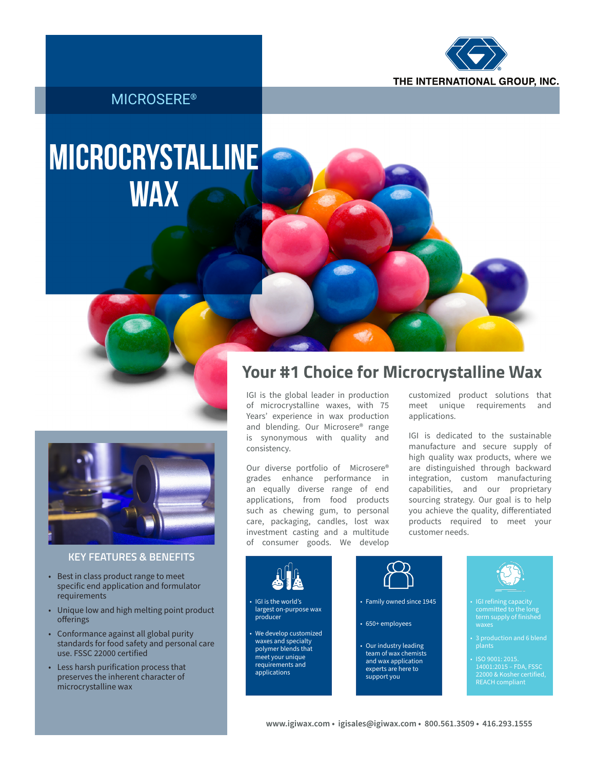

#### MICROSERE®

# Microcrystalline **WAX**



#### **KEY FEATURES & BENEFITS**

- Best in class product range to meet specific end application and formulator requirements
- Unique low and high melting point product offerings
- Conformance against all global purity standards for food safety and personal care use. FSSC 22000 certified
- Less harsh purification process that preserves the inherent character of microcrystalline wax

### **Your #1 Choice for Microcrystalline Wax**

IGI is the global leader in production of microcrystalline waxes, with 75 Years' experience in wax production and blending. Our Microsere® range is synonymous with quality and consistency.

Our diverse portfolio of Microsere® grades enhance performance in an equally diverse range of end applications, from food products such as chewing gum, to personal care, packaging, candles, lost wax investment casting and a multitude of consumer goods. We develop customized product solutions that<br>meet unique requirements and meet unique requirements applications.

IGI is dedicated to the sustainable manufacture and secure supply of high quality wax products, where we are distinguished through backward integration, custom manufacturing capabilities, and our proprietary sourcing strategy. Our goal is to help you achieve the quality, differentiated products required to meet your customer needs.